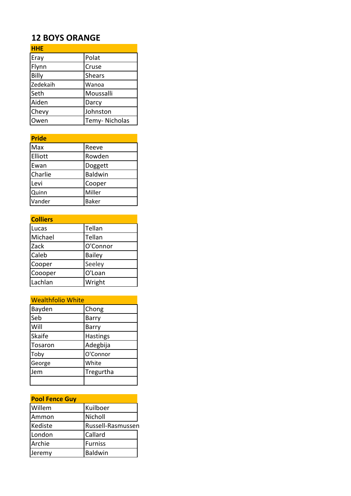## **12 BOYS ORANGE**

| <b>HHE</b> |                |
|------------|----------------|
| Eray       | Polat          |
| Flynn      | Cruse          |
| Billy      | <b>Shears</b>  |
| Zedekaih   | Wanoa          |
| Seth       | Moussalli      |
| Aiden      | Darcy          |
| Chevy      | Johnston       |
| wen        | Temy- Nicholas |

| <b>Pride</b> |                |
|--------------|----------------|
| Max          | Reeve          |
| Elliott      | Rowden         |
| Ewan         | Doggett        |
| Charlie      | <b>Baldwin</b> |
| Levi         | Cooper         |
| Quinn        | Miller         |
| Vander       | <b>Baker</b>   |

| <b>Colliers</b> |               |
|-----------------|---------------|
| Lucas           | Tellan        |
| Michael         | Tellan        |
| Zack            | O'Connor      |
| Caleb           | <b>Bailey</b> |
| Cooper          | Seeley        |
| Coooper         | O'Loan        |
| Lachlan         | Wright        |

| <b>Wealthfolio White</b> |                 |
|--------------------------|-----------------|
| Bayden                   | Chong           |
| Seb                      | Barry           |
| Will                     | Barry           |
| <b>Skaife</b>            | <b>Hastings</b> |
| Tosaron                  | Adegbija        |
| Toby                     | O'Connor        |
| George                   | White           |
| Jem                      | Tregurtha       |
|                          |                 |

| <b>Pool Fence Guy</b> |                   |
|-----------------------|-------------------|
| Willem                | Kuilboer          |
| Ammon                 | Nicholl           |
| Kediste               | Russell-Rasmussen |
| London                | Callard           |
| Archie                | <b>Furniss</b>    |
| Jeremy                | Baldwin           |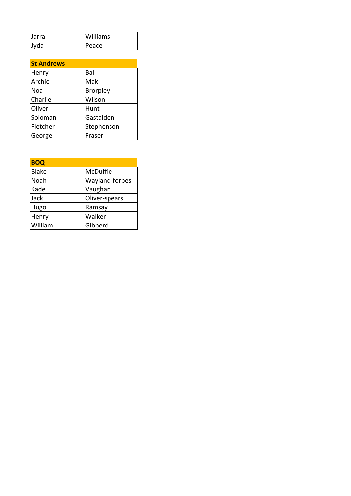| IJarra      | <b>Williams</b> |
|-------------|-----------------|
| <b>Jyda</b> | Peace           |

| <b>St Andrews</b> |                 |
|-------------------|-----------------|
| Henry             | Ball            |
| Archie            | Mak             |
| <b>Noa</b>        | <b>Brorpley</b> |
| Charlie           | Wilson          |
| Oliver            | Hunt            |
| Soloman           | Gastaldon       |
| Fletcher          | Stephenson      |
| George            | Fraser          |

| <b>BOQ</b>   |                |
|--------------|----------------|
| <b>Blake</b> | McDuffie       |
| Noah         | Wayland-forbes |
| Kade         | Vaughan        |
| Jack         | Oliver-spears  |
| Hugo         | Ramsay         |
| Henry        | Walker         |
| William      | Gibberd        |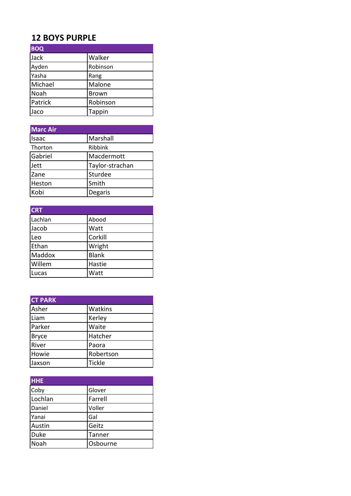## **12 BOYS PURPLE**

| <b>BOQ</b> |               |
|------------|---------------|
| Jack       | Walker        |
| Ayden      | Robinson      |
| Yasha      | Rang          |
| Michael    | Malone        |
| Noah       | <b>Brown</b>  |
| Patrick    | Robinson      |
| Jaco       | <b>Tappin</b> |

| Marc Air |                 |
|----------|-----------------|
| Isaac    | Marshall        |
| Thorton  | Ribbink         |
| Gabriel  | Macdermott      |
| Jett     | Taylor-strachan |
| Zane     | Sturdee         |
| Heston   | Smith           |
| Kobi     | Degaris         |

| <b>CRT</b> |              |
|------------|--------------|
| Lachlan    | Abood        |
| Jacob      | Watt         |
| Leo        | Corkill      |
| Ethan      | Wright       |
| Maddox     | <b>Blank</b> |
| Willem     | Hastie       |
| Lucas      | Watt         |

| <b>CT PARK</b> |               |
|----------------|---------------|
| Asher          | Watkins       |
| Liam           | Kerley        |
| Parker         | Waite         |
| <b>Bryce</b>   | Hatcher       |
| River          | Paora         |
| Howie          | Robertson     |
| Jaxson         | <b>Tickle</b> |

| <b>HHE</b>  |          |
|-------------|----------|
| Coby        | Glover   |
| Lochlan     | Farrell  |
| Daniel      | Voller   |
| Yanai       | Gal      |
| Austin      | Geitz    |
| <b>Duke</b> | Tanner   |
| Noah        | Osbourne |